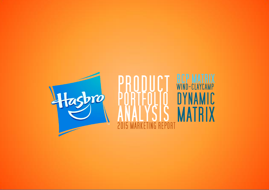

## **BCP MATRIX**<br>WIND-CLAYCAMP **NAMIC MATRIX** Ñ  $\Lambda$ **RKETING REPORT 2015 MA**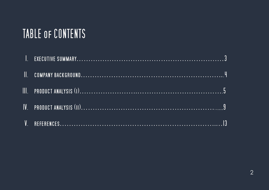# TABLE OF CONTENTS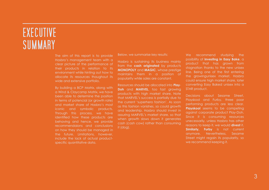# EXECUTIVE SUMMARY

The aim of this report is to provide Hasbro's management team with a clear picture of the performance of their products in relation to its environment while hinting out how to allocate its resources thoughout its wide and extensive portfolio.

By building a BCP Matrix, along with a Wind & Claycamp Matrix, we have been able to determine the position in terms of potencial (or growth rate) and market share of Hasbro's most iconic and symbolic products. Through this process, we have identified how these products are behaving and hence, we provide recommendaions and conclusions on how they should be managed in the future. Limitations, however, include the lack of actual productspecific quantitative data.

Below, we summarise key results:

Hasbro is sustaining its business mainly from the **cash originated** by products **MONOPOLY** and **MAGIC**, whose prestige maintains them in a position of popularity while sales are constant.

Resources should be allocated into **Play**-**Doh** and **MARVEL**, too fast growing products with high market share. Note that MARVEL's success is partially due to the current 'superhero fashion'. As soon as this fashion vanishes, so could growth and leadership. Hasbro should invest in assuring MARVEL's market share, so that when growth slows down it generates cash (cash cow) rather than consuming it (dog).

We recommend studying the posibility of **investing in Easy Bake**, a product that has grown from stagnation thanks to the new unisex line. Being one of the first entering the growingunisex market, Hasbro could ensure high market share, later converting Easy Baked unisex into a STAR product.

Decisions about Sesame Street, Playskool and Furby, three poor performing products are less clear. **Playskool** seems to be competing against corporate product Play-Doh. Since it is consuming resources unecessarily, unless Hasbro has other reasons to keep it, we would **divest** it. **Similarly, Furby** is not current anymore. Nevertheless, Sesame Street might regain its popularity, so we recommend keeping it.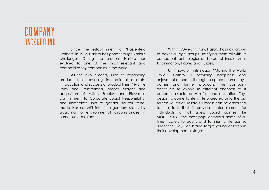## COMPANY **BACKGROUND**

Since the establishment of 'Hassenfeld Brothers' in 1923, Hasbro has gone through various challenges. During the process, Hasbro has evolved to one of the most relevant and competitive toy companies in the world.

All the evolvements, such as expanding product lines covering international markets, introduction and success of product lines (My Little Pony and Transformer), proper merger and acquisition of Milton Bradley and Playskool, commitment to Corporate Social Responsibility, and immediate shift to gender neutral trend, made Hasbro shift into its legendary status by adapting to environmental circumstances in numerous occasions.

With its 90-year history, Hasbro has now grown to cover all age groups, satisfying them all with its competent technologies and product lines such as TV animation, Figures and Puzzles.

Until now, with its slogan "Making the World Smile," Hasbro is providing happiness and enjoyment at homes through the production of toys, games and further products. The company continued to evolve in different channels as it became associated with film and animation. Toys began to come to life while projected onto the big screen. Much of Hasbro's success can be attributed to the fact that it provides entertainment for individuals of all ages. Board games like MONOPOLY, 'the most popular board game of all time', caters to adults and families, while games under the Play-Doh brand target young children in their developmental stages.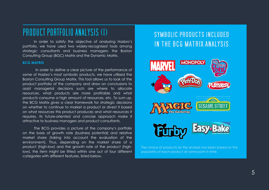## PRODUCT PORTFOLIO ANALYSIS (I)

In order to satisfy the objective of analysing Hasbro's portfolio, we have used two widely-recognised tools among strategic consultants and business managers: the Boston Consulting Group (BGC) Matrix and the Dynamic Matrix.

### **BCG MATRIX**

In order to define a clear picture of the performance of some of Hasbro's most symbolic products, we have utilised the Boston Consulting Group Matrix. This tool allows us to look at the product portfolio of the company and draw on conclusions to assist managerial decisions such are where to allocate resources, what products are more profitable and what products consume a high amount of resources, etc. To sum up, the BCG Matrix gives a clear framework for strategic decisions on whether to continue to market a product or divest it based on what resources this product produces and what resources it requires. Its future-oriented and concise approach make it attractive to business managers and product consultants.

The BCG provides a picture of the company's portfolio on the basis of growth rate (business potential) and relative market share (taking into account the evaluation of the environment). Thus, depending on the market share of a product (high-low) and the growth rate of the product (highlow), the item might be fitted within one out of four different categories with different features, listed below.

## SYMBOLIC PRODUCTS INCLUDED IN THE BCG MATRIX ANALYSIS



The choice of products for the analysis has been based on the popularity of each product at some point in time.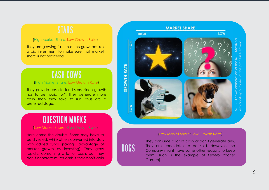## (High Market Share; Low Growth Rate )

They are growing fast; thus, this grow requires a big investment to make sure that market share is not preserved.

## **CASH COWS**

### (High Market Share, Low Growth Rate)

They provide cash to fund stars, since growth has to be "paid for". They generate more cash than they take to run, thus are a preferred stage.

### (Low Market Share; High Growth Rate )

Here come the doubts. Some may have to be divested, while others converted into stars with added funds (taking advantage of market growth by investing). They grow rapidly, consuming a lot of cash, but they don't generate much cash if they don't gain market share. (High Market Share; Low Growth Rate

DOGS

## **MARKET SHARE** LOW **HIGH** SOURCE: own elaboration of the BCG Matrix for explanatory purposes of the process followed. HIGH **GROWTH RATE** own ela SOURCE: tonolaxe **NOT**

## (Low Market Share; Low Growth Rate )

They consume a lot of cash or don't generate any. They are candidates to be sold. However, the Company might have some other reasons to keep them (such is the example of *Ferrero Rocher Garden* )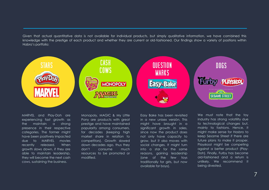Given that actual quantitative data is not available for individual products, but simply qualitative information, we have combined this knowledge with the prestige of each product and whether they are current or old-fashioned. Our findings show a variety of positions within Habro's portfolio:



MARVEL and Play-Doh are experiencing fast growth as the maintain a strong presence in their respective categories. The former might have been positively impacted due to MARVEL movies recently released. When growth slows down, if they are able to maintain leadership, they will become the next cash cows, sustaining the business.

Monopoly, MAGIC & My Little Pony are products with great prestige and have maintained popularity among consumers, for decades (keeping high market share in relation to competitors). Growth slowed down decades ago, thus they don't consume much resources to be promoted or modified.

Easy Bake has been revisited in a new unisex versión. This might have brought in a significant growth in sales, since now the product does not only have capacity to grow, but it also moves with social changes. It might turn into a star for the same reasons, gaining leadership (one of the few toys traditionally for girls, but now available for boys).

We must note that the toy industry has strong volatility due to technological changes but, mainly to fashions. Hence, it might make sense for Hasbro to keep Sesame Street if there are future plans to make it prosper. Playskool might be competing against a better product (Play-Doh). Finally, Furby has become old-fashioned and a return is unlikely. We recommend it being divested.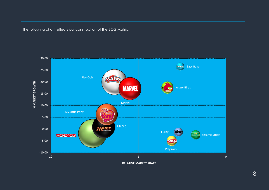The following chart reflects our construction of the BCG Matrix.



**RELATIVE MARKET SHARE**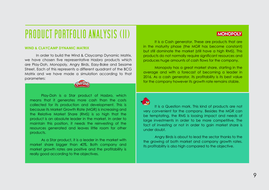# PRODUCT PORTFOLIO ANALYSIS (II)

### **WIND & CLAYCAMP DYNAMIC MATRIX**

In order to build the Wind & Claycamp Dynamic Matrix, we have chosen five representative Hasbro products which are Play-Doh, Monopoly, Angry Birds, Easy-Bake and Sesame Street. Each of this represents a different quadrant of the BCG Matrix and we have made a simulation according to that parameters:



Play-Doh is a Star product of Hasbro, which means that it generates more cash than the costs collected for its production and development. This is because its Market Growth Rate (MGR) is increasing and the Relative Market Share (RMS) is so high that the product is an absolute leader in the market. In order to maintain this position, it needs the reinvesting of the resources generated and leaves little room for other products.

As a Star product, it is a leader in the market with market share bigger than 40%. Both company and market growth rates are positive and the profitability is really good according to the objectives.

## **MONOPOLY**

It is a Cash generator. These are products that are in the maturity phase (the MGR has become constant) but still dominate the market (still have a high RMS). This products do not normally require significant resources and produces huge amounts of cash flows for the company.

Monopoly has a great market share, starting in the average and with a forecast of becoming a leader in 2016. As a cash generator, its profitability is its best value for the company however its growth rate remains stable.



It is a Question mark. This kind of products are not very convenient for the company. Besides the MGR can be temptating, the RMS is loosing impact and needs of large investments in order to be more competitive. The fact of investing or not in order to gain market share is under doubt.

Angry Birds is about to lead the sector thanks to the the growing of both market and company growth rates. Its profitability is also high compared to the objective.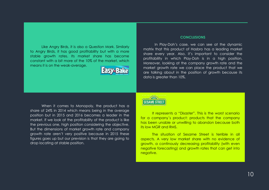Like Angry Birds, it is also a Question Mark. Similarly to Angry Birds, it has good profitability but with a more stable growth rates. Its market share has become constant with a bit more of the 10% of the market, which means it is on the weak-average.



### **CONCLUSIONS**

In Play-Doh's case, we can see at the dynamic matrix that this product of Hasbro has a leading market share every year. Also, it's important to consider the profitability in which Play-Doh is in a high position. Moreover, looking at the company growth rate and the market growth rate we can place the product that we are talking about in the position of growth because its data is greater than 10%.

When it comes to Monopoly, the product has a share of 24% in 2014 which means being in the average position but in 2015 and 2016 becomes a leader in the market. If we look at the profitability of the product is like the previous one, high position considering the objective. But the dimensions of market growth rate and company growth rate aren't very positive because in 2015 these figures goes up but our prevision is that they are going to drop locating at stable position.

### $\sqrt{423}$ **SESAME STREE**

It represents a "Disaster". This is the worst scenario for a company´s product: products that the company has been unable or unwilling to abandon because both its low MGR and RMS.

The situation of Sesame Street is terrible in all aspects. A very low market share with no evidence of growth, a continously decreasing profitability (with even negative forecasting) and growth rates that can get into negative.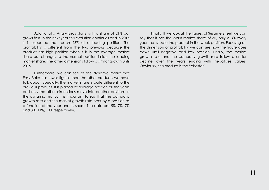Additionally, Angry Birds starts with a share of 21% but grows fast, in the next year this evolution continues and in 2016 it is expected that reach 26% at a leading position. The profitability is different from the two previous because the product has high position when it is in the average market share but changes to the normal position inside the leading market share. The other dimensions follow a similar growth until 2016.

Furthermore, we can see at the dynamic matrix that Easy Bake has lower figures than the other products we have talk about. Specially, the market share is quite different to the previous product. It is placed at average position all the years and only the other dimensions move into another positions in the dynamic matrix. It is important to say that the company growth rate and the market growth rate occupy a position as a function of the year and its share. The data are 5%, 7%, 7% and 8%, 11%, 10% respectively.

Finally, If we look at the figures of Sesame Street we can say that it has the worst market share of all, only a 3% every year that situate the product in the weak position. Focusing on the dimension of profitability we can see how the figure goes down until negative and low position. Finally, the market growth rate and the company growth rate follow a similar decline over the years ending with negatives values. Obviously, this product is the "disaster".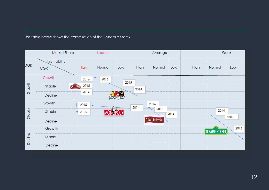The table below shows the construction of the Dynamic Matrix.

| Market Share |                             | Leader           |        |        | Average |                    |      | Weak |                                     |      |
|--------------|-----------------------------|------------------|--------|--------|---------|--------------------|------|------|-------------------------------------|------|
| <b>MGR</b>   | Profitability<br><b>CGR</b> | <b>High</b>      | Normal | Low    | High    | Normal             | Low  | High | Normal                              | Low  |
| Growth       | Growth                      | 2016             | 2016   | 2015   |         |                    |      |      |                                     |      |
|              | Stable                      | 2015<br>PlattDot |        |        | 2014    |                    |      |      |                                     |      |
|              | Decline                     | 2014             |        | 11.320 |         |                    |      |      |                                     |      |
| Stable       | Growth                      | 2015             |        |        | 2014    | 2016               |      |      |                                     |      |
|              | Stable                      | 2016             |        |        |         | 2015               | 2014 |      | 2014                                |      |
|              | Decline                     |                  |        |        |         | Easy-Bake <b>a</b> |      |      |                                     | 2015 |
| Decline      | Growth                      |                  |        |        |         |                    |      |      | $\sqrt{12}$<br><b>SESAME STREET</b> | 2016 |
|              | Stable                      |                  |        |        |         |                    |      |      |                                     | ъ    |
|              | Decline                     |                  |        |        |         |                    |      |      |                                     |      |